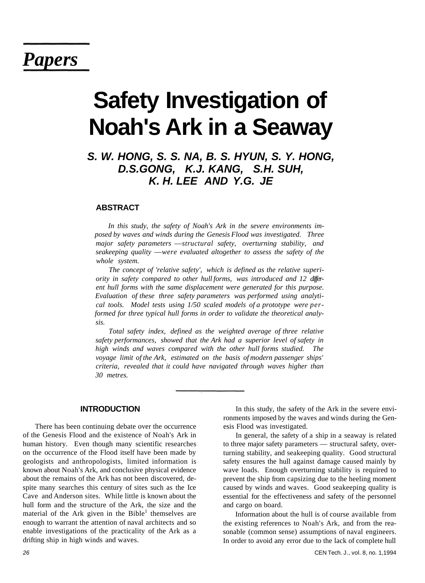## *Papers*

# **Safety Investigation of Noah's Ark in a Seaway**

### **S. W. HONG, S. S. NA, B. S. HYUN, S. Y. HONG, D.S.GONG, K.J. KANG, S.H. SUH, K. H. LEE AND Y.G. JE**

#### **ABSTRACT**

*In this study, the safety of Noah's Ark in the severe environments imposed by waves and winds during the Genesis Flood was investigated. Three major safety parameters* —*structural safety, overturning stability, and seakeeping quality* —*were evaluated altogether to assess the safety of the whole system.* 

*The concept of 'relative safety', which is defined as the relative superiority in safety compared to other hull forms, was introduced and 12 different hull forms with the same displacement were generated for this purpose. Evaluation of these three safety parameters was performed using analytical tools. Model tests using 1/50 scaled models of a prototype were performed for three typical hull forms in order to validate the theoretical analysis.* 

*Total safety index, defined as the weighted average of three relative safety performances, showed that the Ark had a superior level of safety in high winds and waves compared with the other hull forms studied. The voyage limit of the Ark, estimated on the basis of modern passenger ships' criteria, revealed that it could have navigated through waves higher than 30 metres.* 

#### **INTRODUCTION**

There has been continuing debate over the occurrence of the Genesis Flood and the existence of Noah's Ark in human history. Even though many scientific researches on the occurrence of the Flood itself have been made by geologists and anthropologists, limited information is known about Noah's Ark, and conclusive physical evidence about the remains of the Ark has not been discovered, despite many searches this century of sites such as the Ice Cave and Anderson sites. While little is known about the hull form and the structure of the Ark, the size and the material of the Ark given in the Bible<sup>1</sup> themselves are enough to warrant the attention of naval architects and so enable investigations of the practicality of the Ark as a drifting ship in high winds and waves.

In this study, the safety of the Ark in the severe environments imposed by the waves and winds during the Genesis Flood was investigated.

In general, the safety of a ship in a seaway is related to three major safety parameters — structural safety, overturning stability, and seakeeping quality. Good structural safety ensures the hull against damage caused mainly by wave loads. Enough overturning stability is required to prevent the ship from capsizing due to the heeling moment caused by winds and waves. Good seakeeping quality is essential for the effectiveness and safety of the personnel and cargo on board.

Information about the hull is of course available from the existing references to Noah's Ark, and from the reasonable (common sense) assumptions of naval engineers. In order to avoid any error due to the lack of complete hull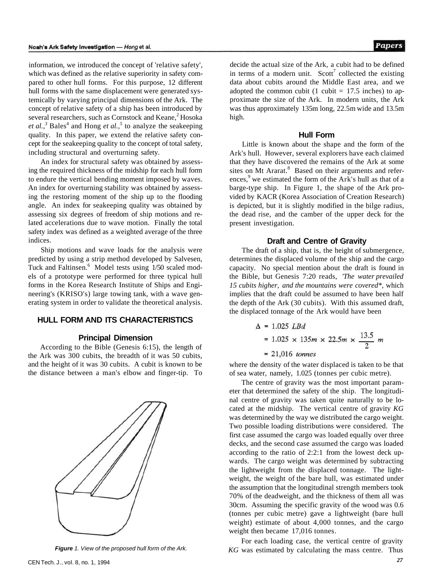information, we introduced the concept of 'relative safety', which was defined as the relative superiority in safety compared to other hull forms. For this purpose, 12 different hull forms with the same displacement were generated systemically by varying principal dimensions of the Ark. The concept of relative safety of a ship has been introduced by several researchers, such as Cornstock and Keane,<sup>2</sup> Hosoka *et al.*,<sup>3</sup> Bales<sup>4</sup> and Hong *et al.*,<sup>5</sup> to analyze the seakeeping quality. In this paper, we extend the relative safety concept for the seakeeping quality to the concept of total safety, including structural and overturning safety.

An index for structural safety was obtained by assessing the required thickness of the midship for each hull form to endure the vertical bending moment imposed by waves. An index for overturning stability was obtained by assessing the restoring moment of the ship up to the flooding angle. An index for seakeeping quality was obtained by assessing six degrees of freedom of ship motions and related accelerations due to wave motion. Finally the total safety index was defined as a weighted average of the three indices.

Ship motions and wave loads for the analysis were predicted by using a strip method developed by Salvesen, Tuck and Faltinsen.<sup>6</sup> Model tests using 1/50 scaled models of a prototype were performed for three typical hull forms in the Korea Research Institute of Ships and Engineering's (KRISO's) large towing tank, with a wave generating system in order to validate the theoretical analysis.

#### **HULL FORM AND ITS CHARACTERISTICS**

#### **Principal Dimension**

According to the Bible (Genesis 6:15), the length of the Ark was 300 cubits, the breadth of it was 50 cubits, and the height of it was 30 cubits. A cubit is known to be the distance between a man's elbow and finger-tip. To



**Figure** 1. View of the proposed hull form of the Ark.

decide the actual size of the Ark, a cubit had to be defined in terms of a modern unit. Scott<sup>7</sup> collected the existing data about cubits around the Middle East area, and we adopted the common cubit (1 cubit  $= 17.5$  inches) to approximate the size of the Ark. In modern units, the Ark was thus approximately 135m long, 22.5m wide and 13.5m high.

#### **Hull Form**

Little is known about the shape and the form of the Ark's hull. However, several explorers have each claimed that they have discovered the remains of the Ark at some sites on Mt Ararat.<sup>8</sup> Based on their arguments and references,<sup>9</sup> we estimated the form of the Ark's hull as that of a barge-type ship. In Figure 1, the shape of the Ark provided by KACR (Korea Association of Creation Research) is depicted, but it is slightly modified in the bilge radius, the dead rise, and the camber of the upper deck for the present investigation.

#### **Draft and Centre of Gravity**

The draft of a ship, that is, the height of submergence, determines the displaced volume of the ship and the cargo capacity. No special mention about the draft is found in the Bible, but Genesis 7:20 reads, *'The water prevailed 15 cubits higher, and the mountains were covered\*,* which implies that the draft could be assumed to have been half the depth of the Ark (30 cubits). With this assumed draft, the displaced tonnage of the Ark would have been

$$
\Delta = 1.025 \text{ LBd}
$$
  
= 1.025 \times 135m \times 22.5m \times \frac{13.5}{2} m  
= 21.016 \text{ tonnes}

where the density of the water displaced is taken to be that of sea water, namely, 1.025 (tonnes per cubic metre).

The centre of gravity was the most important parameter that determined the safety of the ship. The longitudinal centre of gravity was taken quite naturally to be located at the midship. The vertical centre of gravity *KG*  was determined by the way we distributed the cargo weight. Two possible loading distributions were considered. The first case assumed the cargo was loaded equally over three decks, and the second case assumed the cargo was loaded according to the ratio of 2:2:1 from the lowest deck upwards. The cargo weight was determined by subtracting the lightweight from the displaced tonnage. The lightweight, the weight of the bare hull, was estimated under the assumption that the longitudinal strength members took 70% of the deadweight, and the thickness of them all was 30cm. Assuming the specific gravity of the wood was 0.6 (tonnes per cubic metre) gave a lightweight (bare hull weight) estimate of about 4,000 tonnes, and the cargo weight then became 17,016 tonnes.

For each loading case, the vertical centre of gravity *KG* was estimated by calculating the mass centre. Thus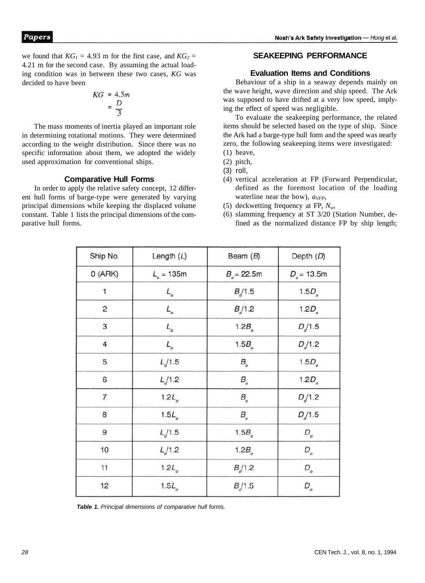we found that  $KG<sub>1</sub> = 4.93$  m for the first case, and  $KG<sub>2</sub> =$ 4.21 m for the second case. By assuming the actual loading condition was in between these two cases, *KG* was decided to have been

$$
KG = 4.5m
$$

$$
= \frac{D}{3}
$$

The mass moments of inertia played an important role in determining rotational motions. They were determined according to the weight distribution. Since there was no specific information about them, we adopted the widely used approximation for conventional ships.

#### **Comparative Hull Forms**

In order to apply the relative safety concept, 12 different hull forms of barge-type were generated by varying principal dimensions while keeping the displaced volume constant. Table 1 lists the principal dimensions of the comparative hull forms.

#### **SEAKEEPING PERFORMANCE**

#### **Evaluation Items and Conditions**

Behaviour of a ship in a seaway depends mainly on the wave height, wave direction and ship speed. The Ark was supposed to have drifted at a very low speed, implying the effect of speed was negligible.

To evaluate the seakeeping performance, the related items should be selected based on the type of ship. Since the Ark had a barge-type hull form and the speed was nearly zero, the following seakeeping items were investigated: (1) heave,

- 
- (3) roll,
- (4) vertical acceleration at FP (Forward Perpendicular, defined as the foremost location of the loading waterline near the bow), *aVFP,*
- (5) deckwetting frequency at FP,  $N_w$ ,
- (6) slamming frequency at ST 3/20 (Station Number, defined as the normalized distance FP by ship length;

| Ship No.       | Length $(L)$      | Beam $(B)$        | Depth (D)           |  |
|----------------|-------------------|-------------------|---------------------|--|
| O(ARK)         | $L_{0} = 135m$    | $B_{e} = 22.5$ m  | $D_{\rm e}$ = 13.5m |  |
| 1              | $L_{\circ}$       | B/1.5             | 1.5D <sub>o</sub>   |  |
| 2              | $L_{\circ}$       | B/1.2             | 1.2D <sub>e</sub>   |  |
| 3              | $L_{\rm _o}$      | 1.2B <sub>o</sub> | D/1.5               |  |
| 4              | $L_{\rm o}$       | 1.5B <sub>o</sub> | D/1.2               |  |
| 5              | L/1.5             | $B_{\rm _o}$      | 1.5D <sub>o</sub>   |  |
| 6              | L/1.2             | $B_{\rm _o}$      | 1.2D <sub>o</sub>   |  |
| $\overline{7}$ | 1.2L <sub>o</sub> | $B_{\circ}$       | D/1.2               |  |
| 8              | 1.5L <sub>e</sub> | $B_{\rm _o}$      | D/1.5               |  |
| 9              | L/1.5             | 1.5B <sub>o</sub> | $D_{_{o}}$          |  |
| 10             | L/1.2             | 1.2B <sub>o</sub> | $D_{_o}\,$          |  |
| 11             | 1.2L <sub>o</sub> | B/1.2             | $D_{_o}$            |  |
| 12             | 1.5L <sub>o</sub> | B/1.5             | $D_{_{o}}$          |  |

**Table 1.** Principal dimensions of comparative hull forms.

<sup>(2)</sup> pitch,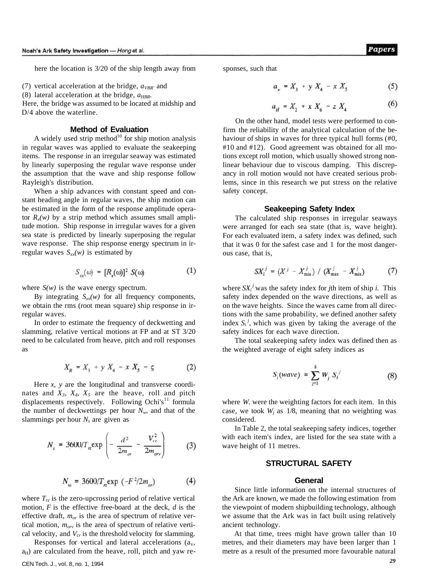here the location is 3/20 of the ship length away from

(7) vertical acceleration at the bridge,  $a_{VBR'}$  and

(8) lateral acceleration at the bridge, *aHBR.* 

Here, the bridge was assumed to be located at midship and D/4 above the waterline.

#### **Method of Evaluation**

A widely used strip method $10$  for ship motion analysis in regular waves was applied to evaluate the seakeeping items. The response in an irregular seaway was estimated by linearly superposing the regular wave response under the assumption that the wave and ship response follow Rayleigh's distribution.

When a ship advances with constant speed and constant heading angle in regular waves, the ship motion can be estimated in the form of the response amplitude operator  $R_x(w)$  by a strip method which assumes small amplitude motion. Ship response in irregular waves for a given sea state is predicted by linearly superposing the regular wave response. The ship response energy spectrum in irregular waves  $S_{xx}(w)$  is estimated by

$$
S_{\infty}(\omega) = [R_{\infty}(\omega)]^2 S(\omega) \tag{1}
$$

where  $S(w)$  is the wave energy spectrum.

By integrating  $S_{xx}(w)$  for all frequency components, we obtain the rms (root mean square) ship response in irregular waves.

In order to estimate the frequency of deckwetting and slamming, relative vertical motions at FP and at ST 3/20 need to be calculated from heave, pitch and roll responses as

$$
X_R = X_3 + y X_4 - x X_5 - \varsigma \tag{2}
$$

Here *x, y* are the longitudinal and transverse coordinates and  $X_3$ ,  $X_4$ ,  $X_5$  are the heave, roll and pitch displacements respectively. Following Ochi's<sup>11</sup> formula the number of deckwettings per hour  $N_w$ , and that of the slammings per hour  $N_s$  are given as

$$
N_s = 3600/T_{r2} \exp\left(-\frac{d^2}{2m_{or}} - \frac{V_{cr}^2}{2m_{or}}\right) \tag{3}
$$

$$
N_{\omega} = 3600/T_{r2} \exp\left(-F^2/2m_{or}\right) \tag{4}
$$

where  $T_{rz}$  is the zero-upcrossing period of relative vertical motion, *F* is the effective free-board at the deck, *d* is the effective draft, *mor* is the area of spectrum of relative vertical motion, *morv* is the area of spectrum of relative vertical velocity, and *Vcr* is the threshold velocity for slamming.

Responses for vertical and lateral accelerations  $(a<sub>v</sub>, a<sub>v</sub>)$  $a_H$ ) are calculated from the heave, roll, pitch and yaw responses, such that

$$
a_{y} = X_{3} + y X_{4} - x X_{5} \tag{5}
$$

$$
a_{\mu} = X_2 + x X_6 - z X_4 \tag{6}
$$

On the other hand, model tests were performed to confirm the reliability of the analytical calculation of the behaviour of ships in waves for three typical hull forms (#0, #10 and #12). Good agreement was obtained for all motions except roll motion, which usually showed strong nonlinear behaviour due to viscous damping. This discrepancy in roll motion would not have created serious problems, since in this research we put stress on the relative safety concept.

#### **Seakeeping Safety Index**

The calculated ship responses in irregular seaways were arranged for each sea state (that is, wave height). For each evaluated item, a safety index was defined, such that it was 0 for the safest case and 1 for the most dangerous case, that is,

$$
SX_i^j = (X^j - X_{\min}^j) / (X_{\max}^j - X_{\min}^j)
$$
 (7)

where  $SX_i^j$  was the safety index for *j*th item of ship *i*. This safety index depended on the wave directions, as well as on the wave heights. Since the waves came from all directions with the same probability, we defined another safety index  $S_i^j$ , which was given by taking the average of the safety indices for each wave direction.

The total seakeeping safety index was defined then as the weighted average of eight safety indices as

$$
S_i(wave) = \sum_{j=1}^{8} W_j S_i^j
$$
 (8)

where *W.* were the weighting factors for each item. In this case, we took  $W_j$  as 1/8, meaning that no weighting was considered.

In Table 2, the total seakeeping safety indices, together with each item's index, are listed for the sea state with a wave height of 11 metres.

#### **STRUCTURAL SAFETY**

#### **General**

Since little information on the internal structures of the Ark are known, we made the following estimation from the viewpoint of modern shipbuilding technology, although we assume that the Ark was in fact built using relatively ancient technology.

At that time, trees might have grown taller than 10 metres, and their diameters may have been larger than 1 metre as a result of the presumed more favourable natural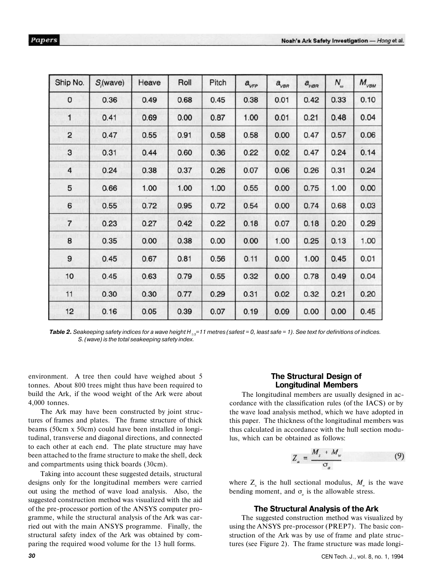| Ship No.       | $S(x)$ (wave) | Heave | Roll | Pitch | $a_{\rm VFP}$ | $a_{\rm \scriptscriptstyle VBR}$ | $a_{\scriptscriptstyle \rm HBR}$ | $N_{\scriptscriptstyle \omega}$ | $M_{\rm VBM}$ |
|----------------|---------------|-------|------|-------|---------------|----------------------------------|----------------------------------|---------------------------------|---------------|
| 0              | 0.36          | 0.49  | 0.68 | 0.45  | 0.38          | 0.01                             | 0.42                             | 0.33                            | 0.10          |
| 1              | 0.41          | 0.69  | 0.00 | 0.87  | 1.00          | 0.01                             | 0.21                             | 0.48                            | 0.04          |
| $\overline{c}$ | 0.47          | 0.55  | 0.91 | 0.58  | 0.58          | 0.00                             | 0.47                             | 0.57                            | 0.06          |
| 3              | 0.31          | 0.44  | 0.60 | 0.36  | 0.22          | 0.02                             | 0.47                             | 0.24                            | 0.14          |
| 4              | 0.24          | 0.38  | 0.37 | 0.26  | 0.07          | 0.06                             | 0.26                             | 0.31                            | 0.24          |
| 5              | 0.66          | 1.00  | 1.00 | 1.00  | 0.55          | 0.00                             | 0.75                             | 1.00                            | 0.00          |
| 6              | 0.55          | 0.72  | 0.95 | 0.72  | 0.54          | 0.00                             | 0.74                             | 0.68                            | 0.03          |
| $\overline{7}$ | 0.23          | 0.27  | 0.42 | 0.22  | 0.18          | 0.07                             | 0.18                             | 0.20                            | 0.29          |
| 8              | 0.35          | 0.00  | 0.38 | 0.00  | 0.00          | 1.00                             | 0.25                             | 0.13                            | 1.00          |
| 9              | 0.45          | 0.67  | 0.81 | 0.56  | 0.11          | 0.00                             | 1.00                             | 0.45                            | 0.01          |
| 10             | 0.45          | 0.63  | 0.79 | 0.55  | 0.32          | 0.00                             | 0.78                             | 0.49                            | 0.04          |
| 11             | 0.30          | 0.30  | 0.77 | 0.29  | 0.31          | 0.02                             | 0.32                             | 0.21                            | 0.20          |
| 12             | 0.16          | 0.05  | 0.39 | 0.07  | 0.19          | 0.09                             | 0.00                             | 0.00                            | 0.45          |

*Table 2. Seakeeping safety indices for a wave height H 1/3=11 metres (safest = 0, least safe = 1). See text for definitions of indices. S. (wave) is the total seakeeping safety index.* 

environment. A tree then could have weighed about 5 tonnes. About 800 trees might thus have been required to build the Ark, if the wood weight of the Ark were about 4,000 tonnes.

The Ark may have been constructed by joint structures of frames and plates. The frame structure of thick beams (50cm x 50cm) could have been installed in longitudinal, transverse and diagonal directions, and connected to each other at each end. The plate structure may have been attached to the frame structure to make the shell, deck and compartments using thick boards (30cm).

Taking into account these suggested details, structural designs only for the longitudinal members were carried out using the method of wave load analysis. Also, the suggested construction method was visualized with the aid of the pre-processor portion of the ANSYS computer programme, while the structural analysis of the Ark was carried out with the main ANSYS programme. Finally, the structural safety index of the Ark was obtained by comparing the required wood volume for the 13 hull forms.

#### **The Structural Design of Longitudinal Members**

The longitudinal members are usually designed in accordance with the classification rules (of the IACS) or by the wave load analysis method, which we have adopted in this paper. The thickness of the longitudinal members was thus calculated in accordance with the hull section modulus, which can be obtained as follows:

$$
Z_a = \frac{M_s + M_w}{\sigma_a} \tag{9}
$$

where  $Z_a$  is the hull sectional modulus,  $M_w$  is the wave bending moment, and  $\sigma_a$  is the allowable stress.

#### **The Structural Analysis of the Ark**

The suggested construction method was visualized by using the ANSYS pre-processor (PREP7). The basic construction of the Ark was by use of frame and plate structures (see Figure 2). The frame structure was made longi-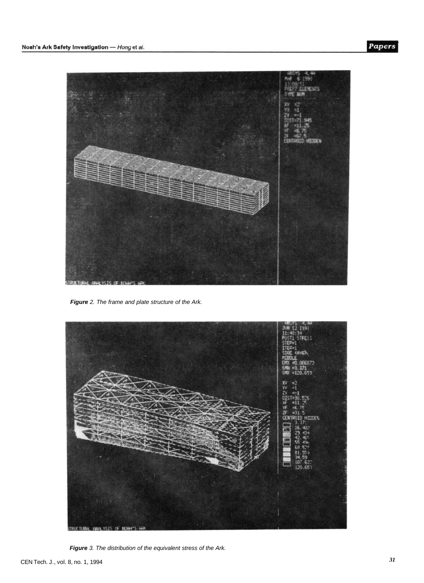

**Figure** 2. The frame and plate structure of the Ark.



**Figure** 3. The distribution of the equivalent stress of the Ark.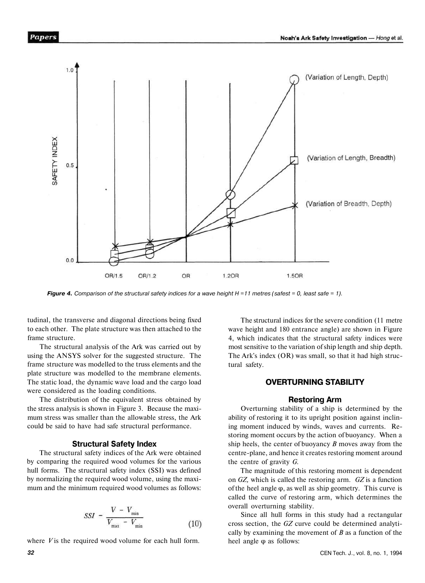

**Figure 4.** Comparison of the structural safety indices for a wave height  $H = 11$  metres (safest = 0, least safe = 1).

tudinal, the transverse and diagonal directions being fixed to each other. The plate structure was then attached to the frame structure.

The structural analysis of the Ark was carried out by using the ANSYS solver for the suggested structure. The frame structure was modelled to the truss elements and the plate structure was modelled to the membrane elements. The static load, the dynamic wave load and the cargo load were considered as the loading conditions.

The distribution of the equivalent stress obtained by the stress analysis is shown in Figure 3. Because the maximum stress was smaller than the allowable stress, the Ark could be said to have had safe structural performance.

#### **Structural Safety Index**

The structural safety indices of the Ark were obtained by comparing the required wood volumes for the various hull forms. The structural safety index (SSI) was defined by normalizing the required wood volume, using the maximum and the minimum required wood volumes as follows:

$$
SSI = \frac{V - V_{\min}}{V_{\max} - V_{\min}} \tag{10}
$$

where *V* is the required wood volume for each hull form.

The structural indices for the severe condition (11 metre wave height and 180 entrance angle) are shown in Figure 4, which indicates that the structural safety indices were most sensitive to the variation of ship length and ship depth. The Ark's index (OR) was small, so that it had high structural safety.

#### **OVERTURNING STABILITY**

#### **Restoring Arm**

Overturning stability of a ship is determined by the ability of restoring it to its upright position against inclining moment induced by winds, waves and currents. Restoring moment occurs by the action of buoyancy. When a ship heels, the center of buoyancy *B* moves away from the centre-plane, and hence it creates restoring moment around the centre of gravity *G.* 

The magnitude of this restoring moment is dependent on *GZ,* which is called the restoring arm. *GZ* is a function of the heel angle  $\varphi$ , as well as ship geometry. This curve is called the curve of restoring arm, which determines the overall overturning stability.

Since all hull forms in this study had a rectangular cross section, the *GZ* curve could be determined analytically by examining the movement of *B* as a function of the heel angle φ as follows: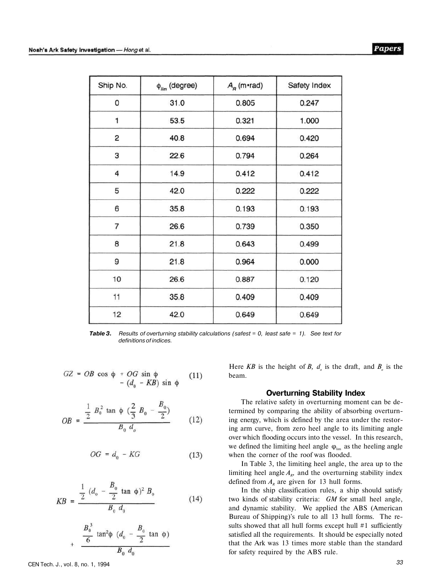| Ship No. | $\phi_{\text{lim}}$ (degree) | $A_{R}$ (m•rad) | Safety Index |  |
|----------|------------------------------|-----------------|--------------|--|
| 0        | 31.0                         | 0.805           | 0.247        |  |
| 1        | 53.5                         | 0.321           | 1.000        |  |
| 2        | 40.8                         | 0.694           | 0.420        |  |
| 3        | 22.6                         | 0.794           | 0.264        |  |
| 4        | 14.9                         | 0.412           | 0.412        |  |
| 5        | 42.0                         | 0.222           | 0.222        |  |
| 6        | 35.8                         | 0.193           | 0.193        |  |
| 7        | 26.6                         | 0.739           | 0.350        |  |
| 8        | 21.8                         | 0.643           | 0.499        |  |
| 9        | 21.8                         | 0.964           | 0.000        |  |
| 10       | 26.6                         | 0.887           | 0.120        |  |
| 11       | 35.8                         | 0.409           | 0.409        |  |
| 12       | 42.0                         | 0.649<br>0.649  |              |  |

*Table 3. Results of overturning stability calculations (safest = 0, least safe* = *1). See text for definitions of indices.* 

$$
GZ = OB \cos \phi + OG \sin \phi - (d_0 - KB) \sin \phi
$$
 (11)

$$
OB = \frac{\frac{1}{2} B_0^2 \tan \phi \left(\frac{2}{3} B_0 - \frac{B_0}{2}\right)}{B_0 d_o}
$$
 (12)

$$
OG = d_0 - KG \tag{13}
$$

$$
KB = \frac{\frac{1}{2} (d_0 - \frac{B_0}{2} \tan \phi)^2 B_0}{B_0 d_0}
$$
 (14)

$$
\frac{B_0^3}{6} \tan^2 \phi \left( d_0 - \frac{B_0}{2} \tan \phi \right)
$$
  

$$
B_0 d_0
$$

Here *KB* is the height of *B*,  $d<sub>o</sub>$  is the draft, and  $B<sub>o</sub>$  is the beam.

#### **Overturning Stability Index**

The relative safety in overturning moment can be determined by comparing the ability of absorbing overturning energy, which is defined by the area under the restoring arm curve, from zero heel angle to its limiting angle over which flooding occurs into the vessel. In this research, we defined the limiting heel angle  $\varphi_{\text{lim}}$  as the heeling angle when the corner of the roof was flooded.

In Table 3, the limiting heel angle, the area up to the limiting heel angle  $A_{R}$ , and the overturning stability index defined from  $A<sub>R</sub>$  are given for 13 hull forms.

In the ship classification rules, a ship should satisfy two kinds of stability criteria: *GM* for small heel angle, and dynamic stability. We applied the ABS (American Bureau of Shipping)'s rule to all 13 hull forms. The results showed that all hull forms except hull #1 sufficiently satisfied all the requirements. It should be especially noted that the Ark was 13 times more stable than the standard for safety required by the ABS rule.

 $\overline{1}$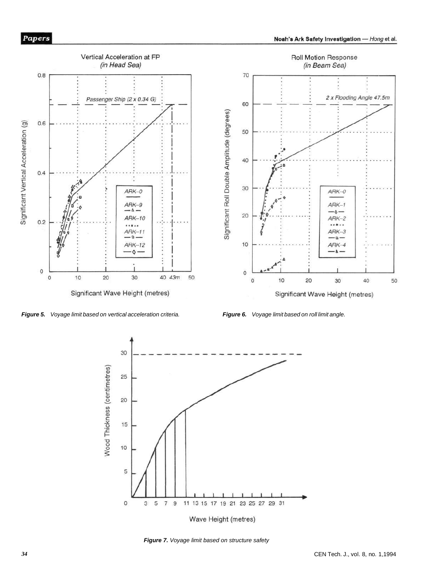





**Figure 7.** Voyage limit based on structure safety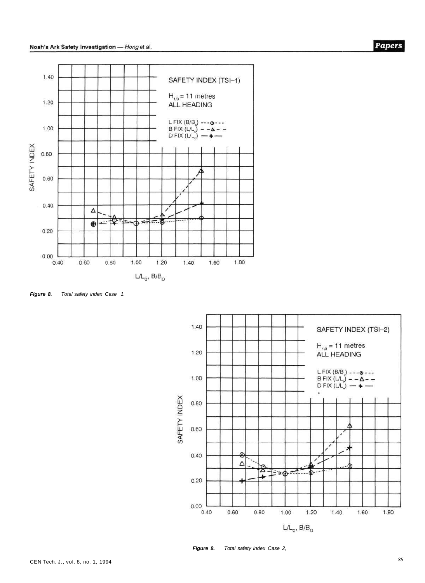

**Figure 8.** Total safety index Case 1.



**Figure 9.** Total safety index Case 2,